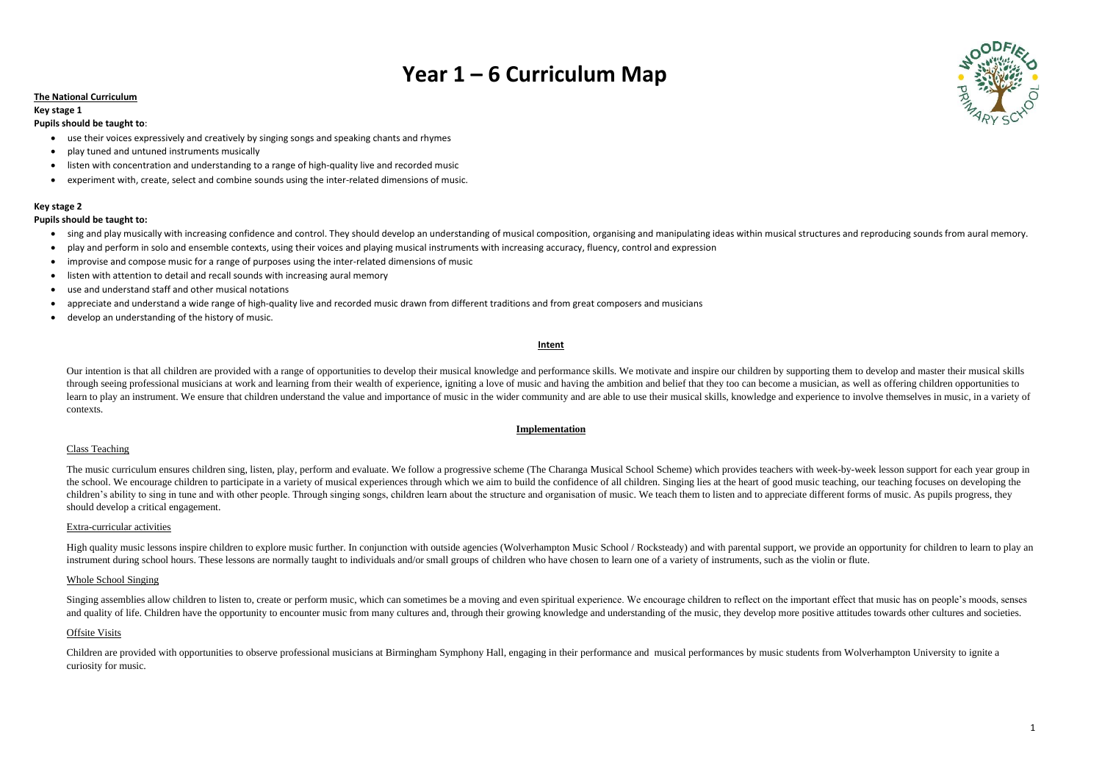# **Year 1 – 6 Curriculum Map**

## **The National Curriculum**

## **Key stage 1**

#### **Pupils should be taught to**:

- use their voices expressively and creatively by singing songs and speaking chants and rhymes
- play tuned and untuned instruments musically
- listen with concentration and understanding to a range of high-quality live and recorded music
- experiment with, create, select and combine sounds using the inter-related dimensions of music.

## **Key stage 2**

## **Pupils should be taught to:**

- sing and play musically with increasing confidence and control. They should develop an understanding of musical composition, organising and manipulating ideas within musical structures and reproducing sounds from aural m
- play and perform in solo and ensemble contexts, using their voices and playing musical instruments with increasing accuracy, fluency, control and expression
- improvise and compose music for a range of purposes using the inter-related dimensions of music
- listen with attention to detail and recall sounds with increasing aural memory
- use and understand staff and other musical notations
- appreciate and understand a wide range of high-quality live and recorded music drawn from different traditions and from great composers and musicians
- develop an understanding of the history of music.

Our intention is that all children are provided with a range of opportunities to develop their musical knowledge and performance skills. We motivate and inspire our children by supporting them to develop and master their m through seeing professional musicians at work and learning from their wealth of experience, igniting a love of music and having the ambition and belief that they too can become a musician, as well as offering children oppo learn to play an instrument. We ensure that children understand the value and importance of music in the wider community and are able to use their musical skills, knowledge and experience to involve themselves in music, in contexts.

#### **Intent**

The music curriculum ensures children sing, listen, play, perform and evaluate. We follow a progressive scheme (The Charanga Musical School Scheme) which provides teachers with week-by-week lesson support for each year gro the school. We encourage children to participate in a variety of musical experiences through which we aim to build the confidence of all children. Singing lies at the heart of good music teaching, our teaching focuses on d children's ability to sing in tune and with other people. Through singing songs, children learn about the structure and organisation of music. We teach them to listen and to appreciate different forms of music. As pupils p should develop a critical engagement.

High quality music lessons inspire children to explore music further. In conjunction with outside agencies (Wolverhampton Music School / Rocksteady) and with parental support, we provide an opportunity for children to lear instrument during school hours. These lessons are normally taught to individuals and/or small groups of children who have chosen to learn one of a variety of instruments, such as the violin or flute.

## **Implementation**

## Class Teaching

## Extra-curricular activities

## Whole School Singing

Singing assemblies allow children to listen to, create or perform music, which can sometimes be a moving and even spiritual experience. We encourage children to reflect on the important effect that music has on people's mo and quality of life. Children have the opportunity to encounter music from many cultures and, through their growing knowledge and understanding of the music, they develop more positive attitudes towards other cultures and

## Offsite Visits

Children are provided with opportunities to observe professional musicians at Birmingham Symphony Hall, engaging in their performance and musical performances by music students from Wolverhampton University to ignite a curiosity for music.

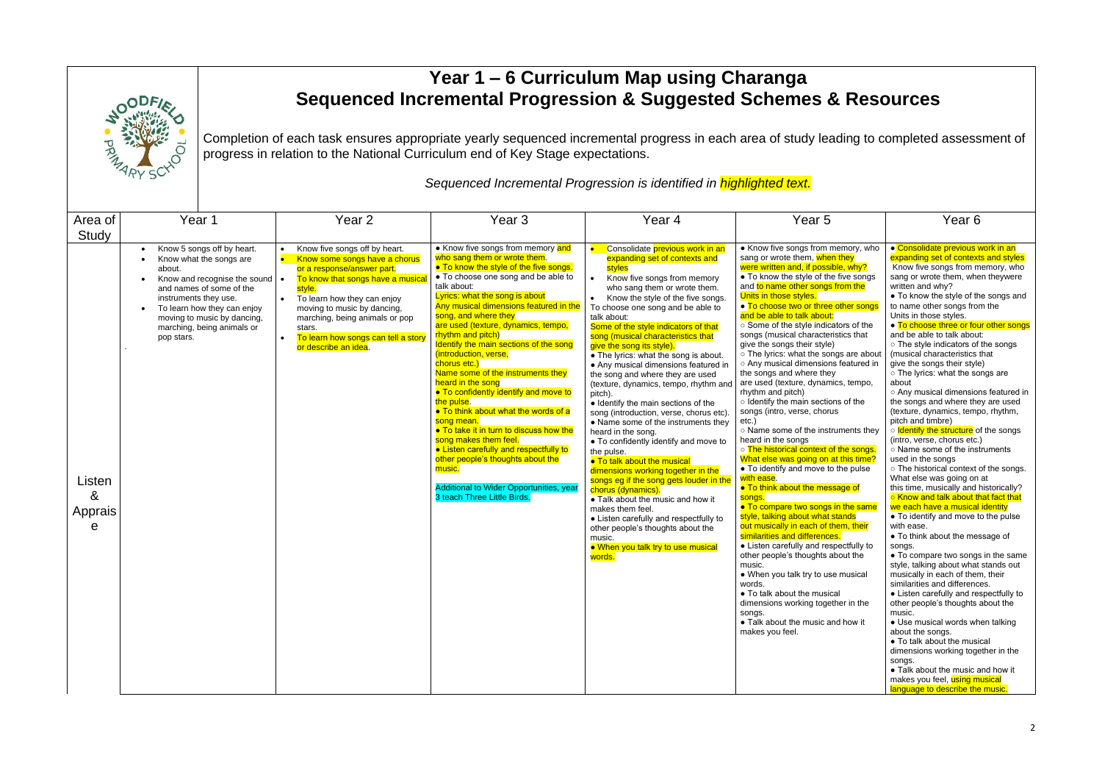

## **Year 1 – 6 Curriculum Map using Charanga Sequenced Incremental Progression & Suggested Schemes &**

Completion of each task ensures appropriate yearly sequenced incremental progress in each area of study lea progress in relation to the National Curriculum end of Key Stage expectations.

*Sequenced Incremental Progression is identified in highlighted text.*

|                                                                               | <b>&amp; Resources</b>                                                                                                                                                                                                                                                   |  |  |  |  |  |  |
|-------------------------------------------------------------------------------|--------------------------------------------------------------------------------------------------------------------------------------------------------------------------------------------------------------------------------------------------------------------------|--|--|--|--|--|--|
|                                                                               | ading to completed assessment of                                                                                                                                                                                                                                         |  |  |  |  |  |  |
|                                                                               |                                                                                                                                                                                                                                                                          |  |  |  |  |  |  |
|                                                                               | Year <sub>6</sub>                                                                                                                                                                                                                                                        |  |  |  |  |  |  |
| nemory, who<br>n they<br>ble, why?<br>e five songs<br>from the<br>other songs | ● Consolidate previous work in an<br>expanding set of contexts and styles<br>Know five songs from memory, who<br>sang or wrote them, when theywere<br>written and why?<br>• To know the style of the songs and<br>to name other songs from the<br>Units in those styles. |  |  |  |  |  |  |
| ators of the                                                                  | • To choose three or four other songs                                                                                                                                                                                                                                    |  |  |  |  |  |  |
| istics that<br>ngs are about<br>s featured in<br>٧<br>iics, tempo,            | and be able to talk about:<br>o The style indicators of the songs<br>(musical characteristics that<br>give the songs their style)<br>o The lyrics: what the songs are<br>about                                                                                           |  |  |  |  |  |  |
| ns of the<br>JS                                                               | $\circ$ Any musical dimensions featured in<br>the songs and where they are used<br>(texture, dynamics, tempo, rhythm,<br>pitch and timbre)                                                                                                                               |  |  |  |  |  |  |
| ruments they                                                                  | o Identify the structure of the songs<br>(intro, verse, chorus etc.)                                                                                                                                                                                                     |  |  |  |  |  |  |
| of the songs.<br>at this time?                                                | $\circ$ Name some of the instruments<br>used in the songs                                                                                                                                                                                                                |  |  |  |  |  |  |
| b the pulse                                                                   | o The historical context of the songs.<br>What else was going on at                                                                                                                                                                                                      |  |  |  |  |  |  |
| <mark>sage of</mark>                                                          | this time, musically and historically?<br>○ Know and talk about that fact that                                                                                                                                                                                           |  |  |  |  |  |  |
| in the same<br>stands                                                         | we each have a musical identity<br>$\bullet$ To identify and move to the pulse                                                                                                                                                                                           |  |  |  |  |  |  |
| <mark>hem, their</mark><br>эs.                                                | with ease.<br>• To think about the message of                                                                                                                                                                                                                            |  |  |  |  |  |  |
| pectfully to<br>about the                                                     | songs.<br>• To compare two songs in the same                                                                                                                                                                                                                             |  |  |  |  |  |  |
| e musical                                                                     | style, talking about what stands out<br>musically in each of them, their<br>similarities and differences.                                                                                                                                                                |  |  |  |  |  |  |
| :al<br>ther in the                                                            | • Listen carefully and respectfully to<br>other people's thoughts about the<br>music.                                                                                                                                                                                    |  |  |  |  |  |  |
| nd how it                                                                     | $\bullet$ Use musical words when talking<br>about the songs.                                                                                                                                                                                                             |  |  |  |  |  |  |
|                                                                               | • To talk about the musical<br>dimensions working together in the<br>songs.                                                                                                                                                                                              |  |  |  |  |  |  |
|                                                                               | $\bullet$ Talk about the music and how it<br>makes you feel, using musical                                                                                                                                                                                               |  |  |  |  |  |  |
|                                                                               | language to describe the music.                                                                                                                                                                                                                                          |  |  |  |  |  |  |

| Area of                     | Year 1                                                                                                                                                                                                                                                                   | Year <sub>2</sub>                                                                                                                                                                                                                                                                                                   | Year <sub>3</sub>                                                                                                                                                                                                                                                                                                                                                                                                                                                                                                                                                                                                                                                                                                                                                                                                                         | Year <sub>4</sub>                                                                                                                                                                                                                                                                                                                                                                                                                                                                                                                                                                                                                                                                                                                                                                                                                                                                                                                                                                                                                                                                | Year <sub>5</sub>                                                                                                                                                                                                                                                                                                                                                                                                                                                                                                                                                                                                                                                                                                                                                                                                                                                                                                                                                                                                                                                                                                                                                                                                                                                                                                                                  | Year <sub>6</sub>                                                                                                                                                                                                                                                                                                                                                                                                                                                                                                                                                                                                                                                                                                                                                                                                                                                                                                                                                                                                                                                                                                                                                                                                                                         |
|-----------------------------|--------------------------------------------------------------------------------------------------------------------------------------------------------------------------------------------------------------------------------------------------------------------------|---------------------------------------------------------------------------------------------------------------------------------------------------------------------------------------------------------------------------------------------------------------------------------------------------------------------|-------------------------------------------------------------------------------------------------------------------------------------------------------------------------------------------------------------------------------------------------------------------------------------------------------------------------------------------------------------------------------------------------------------------------------------------------------------------------------------------------------------------------------------------------------------------------------------------------------------------------------------------------------------------------------------------------------------------------------------------------------------------------------------------------------------------------------------------|----------------------------------------------------------------------------------------------------------------------------------------------------------------------------------------------------------------------------------------------------------------------------------------------------------------------------------------------------------------------------------------------------------------------------------------------------------------------------------------------------------------------------------------------------------------------------------------------------------------------------------------------------------------------------------------------------------------------------------------------------------------------------------------------------------------------------------------------------------------------------------------------------------------------------------------------------------------------------------------------------------------------------------------------------------------------------------|----------------------------------------------------------------------------------------------------------------------------------------------------------------------------------------------------------------------------------------------------------------------------------------------------------------------------------------------------------------------------------------------------------------------------------------------------------------------------------------------------------------------------------------------------------------------------------------------------------------------------------------------------------------------------------------------------------------------------------------------------------------------------------------------------------------------------------------------------------------------------------------------------------------------------------------------------------------------------------------------------------------------------------------------------------------------------------------------------------------------------------------------------------------------------------------------------------------------------------------------------------------------------------------------------------------------------------------------------|-----------------------------------------------------------------------------------------------------------------------------------------------------------------------------------------------------------------------------------------------------------------------------------------------------------------------------------------------------------------------------------------------------------------------------------------------------------------------------------------------------------------------------------------------------------------------------------------------------------------------------------------------------------------------------------------------------------------------------------------------------------------------------------------------------------------------------------------------------------------------------------------------------------------------------------------------------------------------------------------------------------------------------------------------------------------------------------------------------------------------------------------------------------------------------------------------------------------------------------------------------------|
| Study                       |                                                                                                                                                                                                                                                                          |                                                                                                                                                                                                                                                                                                                     |                                                                                                                                                                                                                                                                                                                                                                                                                                                                                                                                                                                                                                                                                                                                                                                                                                           |                                                                                                                                                                                                                                                                                                                                                                                                                                                                                                                                                                                                                                                                                                                                                                                                                                                                                                                                                                                                                                                                                  |                                                                                                                                                                                                                                                                                                                                                                                                                                                                                                                                                                                                                                                                                                                                                                                                                                                                                                                                                                                                                                                                                                                                                                                                                                                                                                                                                    |                                                                                                                                                                                                                                                                                                                                                                                                                                                                                                                                                                                                                                                                                                                                                                                                                                                                                                                                                                                                                                                                                                                                                                                                                                                           |
| Listen<br>&<br>Apprais<br>е | Know 5 songs off by heart.<br>Know what the songs are<br>about.<br>Know and recognise the sound $\bullet$<br>and names of some of the<br>instruments they use.<br>To learn how they can enjoy<br>moving to music by dancing,<br>marching, being animals or<br>pop stars. | Know five songs off by heart.<br>Know some songs have a chorus<br>or a response/answer part.<br>To know that songs have a musica<br>style.<br>To learn how they can enjoy<br>moving to music by dancing,<br>marching, being animals or pop<br>stars.<br>To learn how songs can tell a story<br>or describe an idea. | • Know five songs from memory and<br>who sang them or wrote them.<br>• To know the style of the five songs.<br>• To choose one song and be able to<br>talk about:<br>Lyrics: what the song is about<br>Any musical dimensions featured in the<br>song, and where they<br>are used (texture, dynamics, tempo,<br>rhythm and pitch)<br>Identify the main sections of the song<br>(introduction, verse,<br>chorus etc.)<br>Name some of the instruments they<br>heard in the song<br>• To confidently identify and move to<br>the pulse.<br>• To think about what the words of a<br>song mean.<br>. To take it in turn to discuss how the<br>song makes them feel.<br>• Listen carefully and respectfully to<br>other people's thoughts about the<br>music.<br><b>Additional to Wider Opportunities, year</b><br>3 teach Three Little Birds. | Consolidate previous work in an<br>expanding set of contexts and<br>styles<br>Know five songs from memory<br>$\bullet$<br>who sang them or wrote them.<br>Know the style of the five songs.<br>To choose one song and be able to<br>talk about:<br>Some of the style indicators of that<br>song (musical characteristics that<br>give the song its style).<br>• The lyrics: what the song is about.<br>• Any musical dimensions featured in<br>the song and where they are used<br>(texture, dynamics, tempo, rhythm and<br>pitch).<br>• Identify the main sections of the<br>song (introduction, verse, chorus etc)<br>• Name some of the instruments they<br>heard in the song.<br>• To confidently identify and move to<br>the pulse.<br>• To talk about the musical<br>dimensions working together in the<br>songs eg if the song gets louder in the<br>chorus (dynamics).<br>• Talk about the music and how it<br>makes them feel.<br>• Listen carefully and respectfully to<br>other people's thoughts about the<br>music.<br>. When you talk try to use musical<br>words. | • Know five songs from memory, who<br>sang or wrote them, when they<br>were written and, if possible, why?<br>• To know the style of the five songs<br>and to name other songs from the<br>Units in those styles.<br>• To choose two or three other songs<br>and be able to talk about:<br>○ Some of the style indicators of the<br>songs (musical characteristics that<br>give the songs their style)<br>o The lyrics: what the songs are about<br>o Any musical dimensions featured in<br>the songs and where they<br>are used (texture, dynamics, tempo,<br>rhythm and pitch)<br>o Identify the main sections of the<br>songs (intro, verse, chorus<br>etc.)<br>o Name some of the instruments they<br>heard in the songs<br>o The historical context of the songs.<br>What else was going on at this time?<br>• To identify and move to the pulse<br>with ease.<br>• To think about the message of<br>songs<br>• To compare two songs in the same<br>style, talking about what stands<br>out musically in each of them, their<br>similarities and differences.<br>• Listen carefully and respectfully to<br>other people's thoughts about the<br>music.<br>• When you talk try to use musical<br>words.<br>• To talk about the musical<br>dimensions working together in the<br>songs.<br>• Talk about the music and how it<br>makes you feel. | <b>Consolidate previous v</b><br>expanding set of context<br>Know five songs from m<br>sang or wrote them, whe<br>written and why?<br>• To know the style of th<br>to name other songs from<br>Units in those styles.<br>• To choose three or fou<br>and be able to talk about<br>o The style indicators of<br>(musical characteristics<br>give the songs their style<br>o The lyrics: what the so<br>about<br>o Any musical dimensior<br>the songs and where the<br>(texture, dynamics, temp<br>pitch and timbre)<br>o Identify the structure o<br>(intro, verse, chorus etc.<br>o Name some of the inst<br>used in the songs<br>o The historical context<br>What else was going on<br>this time, musically and<br>○ Know and talk about th<br>we each have a musical<br>• To identify and move t<br>with ease.<br>• To think about the mes<br>songs.<br>• To compare two songs<br>style, talking about what<br>musically in each of ther<br>similarities and differenc<br>• Listen carefully and re<br>other people's thoughts<br>music.<br>· Use musical words wh<br>about the songs.<br>• To talk about the musi<br>dimensions working toge<br>songs.<br>• Talk about the music a<br>makes you feel, <mark>using m</mark><br>language to describe the |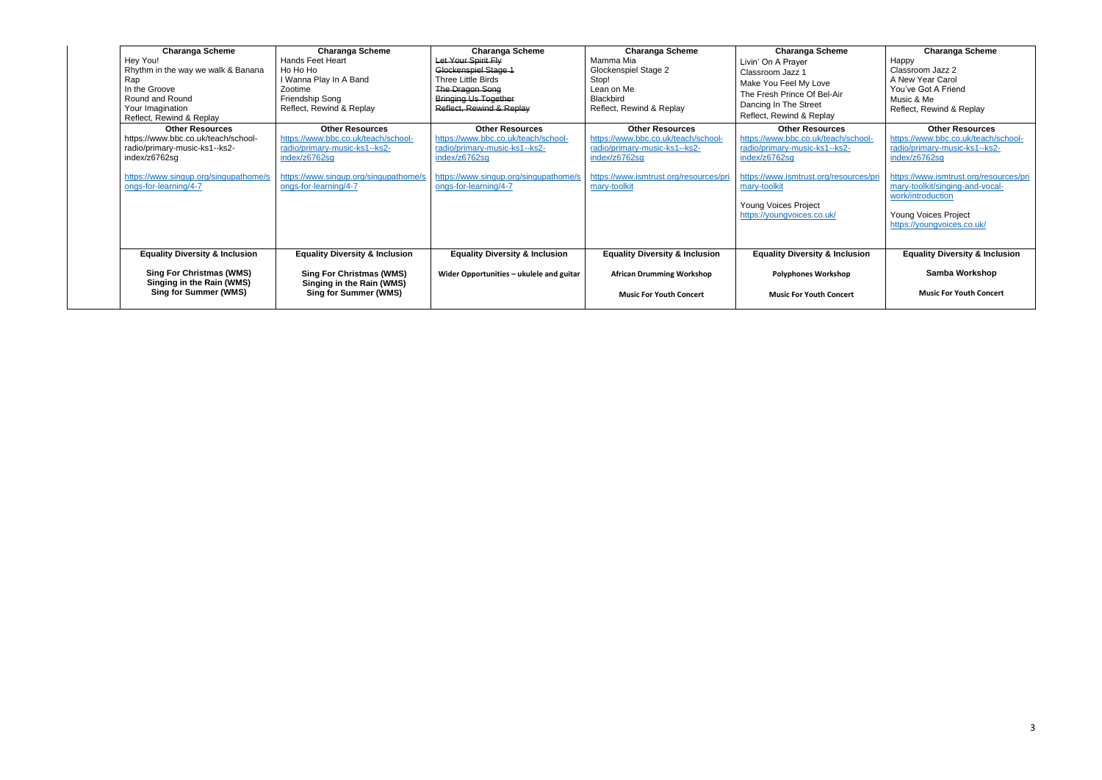| <b>Charanga Scheme</b><br>Hey You!<br>Rhythm in the way we walk & Banana<br>Rap<br>In the Groove<br>Round and Round<br>Your Imagination<br>Reflect, Rewind & Replay               | <b>Charanga Scheme</b><br><b>Hands Feet Heart</b><br>Ho Ho Ho<br>I Wanna Play In A Band<br>Zootime<br>Friendship Song<br>Reflect, Rewind & Replay                                 | <b>Charanga Scheme</b><br>Let Your Spirit Fly<br>Glockenspiel Stage 1<br>Three Little Birds<br>The Dragon Song<br><b>Bringing Us Together</b><br>Reflect, Rewind & Replay         | <b>Charanga Scheme</b><br>Mamma Mia<br>Glockenspiel Stage 2<br>Stop!<br>Lean on Me<br><b>Blackbird</b><br>Reflect, Rewind & Replay                                        | <b>Charanga Scheme</b><br>Livin' On A Prayer<br>Classroom Jazz 1<br>Make You Feel My Love<br>The Fresh Prince Of Bel-Air<br>Dancing In The Street<br>Reflect, Rewind & Replay                                                   | <b>Charanga Scheme</b><br>Happy<br>Classroom Jazz 2<br>A New Year Carol<br>You've Got A Friend<br>Music & Me<br>Reflect, Rewind & Replay                                                                                                                                |
|-----------------------------------------------------------------------------------------------------------------------------------------------------------------------------------|-----------------------------------------------------------------------------------------------------------------------------------------------------------------------------------|-----------------------------------------------------------------------------------------------------------------------------------------------------------------------------------|---------------------------------------------------------------------------------------------------------------------------------------------------------------------------|---------------------------------------------------------------------------------------------------------------------------------------------------------------------------------------------------------------------------------|-------------------------------------------------------------------------------------------------------------------------------------------------------------------------------------------------------------------------------------------------------------------------|
| <b>Other Resources</b><br>https://www.bbc.co.uk/teach/school-<br>radio/primary-music-ks1--ks2-<br>index/z6762sg<br>https://www.singup.org/singupathome/s<br>ongs-for-learning/4-7 | <b>Other Resources</b><br>https://www.bbc.co.uk/teach/school-<br>radio/primary-music-ks1--ks2-<br>index/z6762sg<br>https://www.singup.org/singupathome/s<br>ongs-for-learning/4-7 | <b>Other Resources</b><br>https://www.bbc.co.uk/teach/school-<br>radio/primary-music-ks1--ks2-<br>index/z6762sg<br>https://www.singup.org/singupathome/s<br>ongs-for-learning/4-7 | <b>Other Resources</b><br>https://www.bbc.co.uk/teach/school-<br>radio/primary-music-ks1--ks2-<br>index/z6762sg<br>https://www.ismtrust.org/resources/pri<br>mary-toolkit | <b>Other Resources</b><br>https://www.bbc.co.uk/teach/school-<br>radio/primary-music-ks1--ks2-<br>index/z6762sg<br>https://www.ismtrust.org/resources/pri<br>mary-toolkit<br>Young Voices Project<br>https://youngvoices.co.uk/ | <b>Other Resources</b><br>https://www.bbc.co.uk/teach/school-<br>radio/primary-music-ks1--ks2-<br>index/z6762sg<br>https://www.ismtrust.org/resources/pri<br>mary-toolkit/singing-and-vocal-<br>work/introduction<br>Young Voices Project<br>https://youngvoices.co.uk/ |
| <b>Equality Diversity &amp; Inclusion</b><br><b>Sing For Christmas (WMS)</b><br>Singing in the Rain (WMS)<br><b>Sing for Summer (WMS)</b>                                         | <b>Equality Diversity &amp; Inclusion</b><br><b>Sing For Christmas (WMS)</b><br>Singing in the Rain (WMS)<br><b>Sing for Summer (WMS)</b>                                         | <b>Equality Diversity &amp; Inclusion</b><br>Wider Opportunities - ukulele and guitar                                                                                             | <b>Equality Diversity &amp; Inclusion</b><br><b>African Drumming Workshop</b><br><b>Music For Youth Concert</b>                                                           | <b>Equality Diversity &amp; Inclusion</b><br><b>Polyphones Workshop</b><br><b>Music For Youth Concert</b>                                                                                                                       | <b>Equality Diversity &amp; Inclusion</b><br>Samba Workshop<br><b>Music For Youth Concert</b>                                                                                                                                                                           |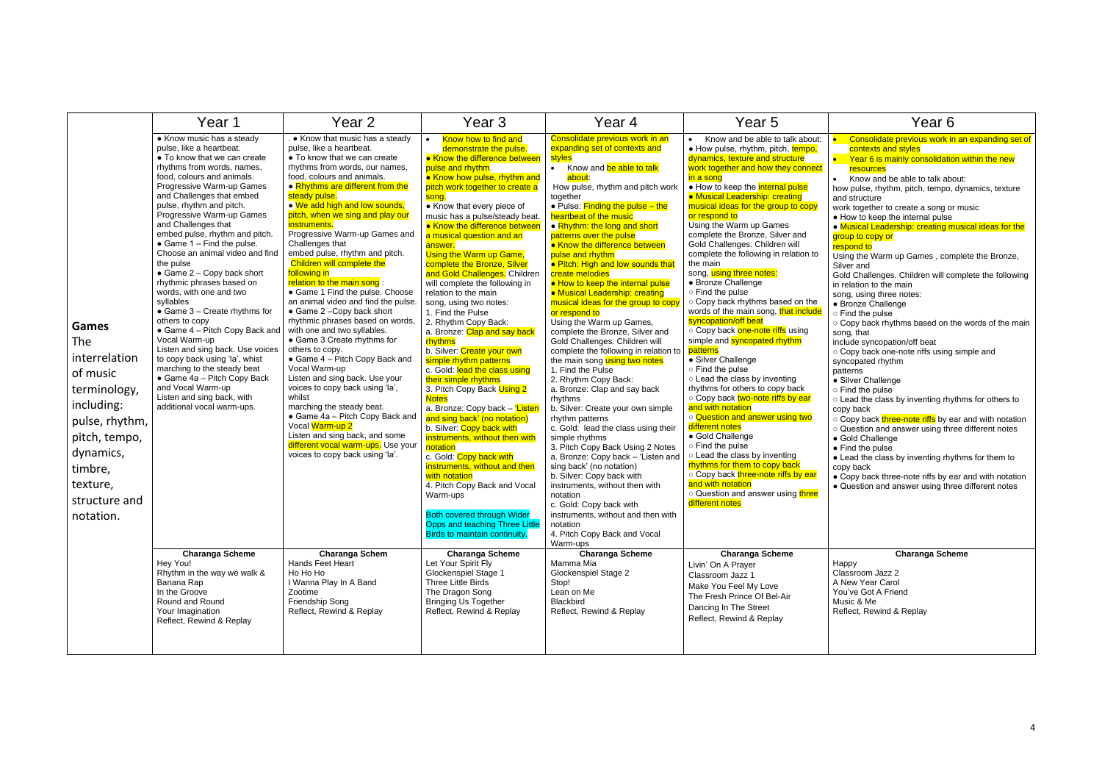|                                                                                                                                                                                     | Year 1                                                                                                                                                                                                                                                                                                                                                                                                                                                                                                                                                                                                                                                                                                                                                                                                                                                                                                                                                                                                                                     | Year 2                                                                                                                                                                                                                                                                                                                                                                                                                                                                                                                                                                                                                                                                                                                                                                                                                                                                                                                                                                                                                                                                                                                                                                             | Year 3                                                                                                                                                                                                                                                                                                                                                                                                                                                                                                                                                                                                                                                                                                                                                                                                                                                                                                                                                                                                                                                                                                                                                                                                                                                                                                                     | Year 4                                                                                                                                                                                                                                                                                                                                                                                                                                                                                                                                                                                                                                                                                                                                                                                                                                                                                                                                                                                                                                                                                                                                                                                                                                                                                                                                                                | Year 5                                                                                                                                                                                                                                                                                                                                                                                                                                                                                                                                                                                                                                                                                                                                                                                                                                                                                                                                                                                                                                                                                                                                                                                                                                                                                                                                                                     | Year 6                                                                                                                                                                                                                                                                                                                                                                                                                                                                                                                                                                                                                                                                                                                                                                                                                                                                                                                                                                                                                                                                                                                                                                                                                                                                                                                                                                                                                                        |
|-------------------------------------------------------------------------------------------------------------------------------------------------------------------------------------|--------------------------------------------------------------------------------------------------------------------------------------------------------------------------------------------------------------------------------------------------------------------------------------------------------------------------------------------------------------------------------------------------------------------------------------------------------------------------------------------------------------------------------------------------------------------------------------------------------------------------------------------------------------------------------------------------------------------------------------------------------------------------------------------------------------------------------------------------------------------------------------------------------------------------------------------------------------------------------------------------------------------------------------------|------------------------------------------------------------------------------------------------------------------------------------------------------------------------------------------------------------------------------------------------------------------------------------------------------------------------------------------------------------------------------------------------------------------------------------------------------------------------------------------------------------------------------------------------------------------------------------------------------------------------------------------------------------------------------------------------------------------------------------------------------------------------------------------------------------------------------------------------------------------------------------------------------------------------------------------------------------------------------------------------------------------------------------------------------------------------------------------------------------------------------------------------------------------------------------|----------------------------------------------------------------------------------------------------------------------------------------------------------------------------------------------------------------------------------------------------------------------------------------------------------------------------------------------------------------------------------------------------------------------------------------------------------------------------------------------------------------------------------------------------------------------------------------------------------------------------------------------------------------------------------------------------------------------------------------------------------------------------------------------------------------------------------------------------------------------------------------------------------------------------------------------------------------------------------------------------------------------------------------------------------------------------------------------------------------------------------------------------------------------------------------------------------------------------------------------------------------------------------------------------------------------------|-----------------------------------------------------------------------------------------------------------------------------------------------------------------------------------------------------------------------------------------------------------------------------------------------------------------------------------------------------------------------------------------------------------------------------------------------------------------------------------------------------------------------------------------------------------------------------------------------------------------------------------------------------------------------------------------------------------------------------------------------------------------------------------------------------------------------------------------------------------------------------------------------------------------------------------------------------------------------------------------------------------------------------------------------------------------------------------------------------------------------------------------------------------------------------------------------------------------------------------------------------------------------------------------------------------------------------------------------------------------------|----------------------------------------------------------------------------------------------------------------------------------------------------------------------------------------------------------------------------------------------------------------------------------------------------------------------------------------------------------------------------------------------------------------------------------------------------------------------------------------------------------------------------------------------------------------------------------------------------------------------------------------------------------------------------------------------------------------------------------------------------------------------------------------------------------------------------------------------------------------------------------------------------------------------------------------------------------------------------------------------------------------------------------------------------------------------------------------------------------------------------------------------------------------------------------------------------------------------------------------------------------------------------------------------------------------------------------------------------------------------------|-----------------------------------------------------------------------------------------------------------------------------------------------------------------------------------------------------------------------------------------------------------------------------------------------------------------------------------------------------------------------------------------------------------------------------------------------------------------------------------------------------------------------------------------------------------------------------------------------------------------------------------------------------------------------------------------------------------------------------------------------------------------------------------------------------------------------------------------------------------------------------------------------------------------------------------------------------------------------------------------------------------------------------------------------------------------------------------------------------------------------------------------------------------------------------------------------------------------------------------------------------------------------------------------------------------------------------------------------------------------------------------------------------------------------------------------------|
| <b>Games</b><br>The<br>interrelation<br>of music<br>terminology,<br>including:<br>pulse, rhythm,<br>pitch, tempo,<br>dynamics,<br>timbre,<br>texture,<br>structure and<br>notation. | • Know music has a steady<br>pulse, like a heartbeat.<br>• To know that we can create<br>rhythms from words, names,<br>food, colours and animals.<br>Progressive Warm-up Games<br>and Challenges that embed<br>pulse, rhythm and pitch.<br>Progressive Warm-up Games<br>and Challenges that<br>embed pulse, rhythm and pitch.<br>$\bullet$ Game 1 - Find the pulse.<br>Choose an animal video and find<br>the pulse<br>$\bullet$ Game 2 - Copy back short<br>rhythmic phrases based on<br>words, with one and two<br>syllables<br>$\bullet$ Game 3 - Create rhythms for<br>others to copy<br>• Game $4$ – Pitch Copy Back and<br>Vocal Warm-up<br>Listen and sing back. Use voices<br>to copy back using 'la', whist<br>marching to the steady beat<br>• Game 4a - Pitch Copy Back<br>and Vocal Warm-up<br>Listen and sing back, with<br>additional vocal warm-ups.<br><b>Charanga Scheme</b><br>Hey You!<br>Rhythm in the way we walk &<br>Banana Rap<br>In the Groove<br>Round and Round<br>Your Imagination<br>Reflect, Rewind & Replay | . • Know that music has a steady<br>pulse, like a heartbeat.<br>• To know that we can create<br>rhythms from words, our names,<br>food, colours and animals.<br>• Rhythms are different from the<br>steady pulse.<br>. We add high and low sounds,<br>pitch, when we sing and play our<br>instruments.<br>Progressive Warm-up Games and<br>Challenges that<br>embed pulse, rhythm and pitch.<br>Children will complete the<br>following in<br>relation to the main song:<br>• Game 1 Find the pulse. Choose<br>an animal video and find the pulse.<br>• Game 2 - Copy back short<br>rhythmic phrases based on words,<br>with one and two syllables.<br>• Game 3 Create rhythms for<br>others to copy.<br>• Game 4 – Pitch Copy Back and<br>Vocal Warm-up<br>Listen and sing back. Use your<br>voices to copy back using 'la',<br>whilst<br>marching the steady beat.<br>• Game 4a - Pitch Copy Back and<br>Vocal Warm-up 2<br>Listen and sing back, and some<br>different vocal warm-ups. Use your<br>voices to copy back using 'la'.<br><b>Charanga Schem</b><br>Hands Feet Heart<br>Ho Ho Ho<br>I Wanna Play In A Band<br>Zootime<br>Friendship Song<br>Reflect, Rewind & Replay | Know how to find and<br>demonstrate the pulse.<br>• Know the difference between<br>pulse and rhythm.<br>• Know how pulse, rhythm and<br>pitch work together to create a<br>song.<br>• Know that every piece of<br>music has a pulse/steady beat.<br>• Know the difference between<br>a musical question and an<br>answer.<br>Using the Warm up Game,<br>complete the Bronze, Silver<br>and Gold Challenges. Children<br>will complete the following in<br>relation to the main<br>song, using two notes:<br>1. Find the Pulse<br>2. Rhythm Copy Back:<br>a. Bronze: Clap and say back<br>rhythms<br>b. Silver: Create your own<br>simple rhythm patterns<br>c. Gold: lead the class using<br>their simple rhythms<br>3. Pitch Copy Back Using 2<br><b>Notes</b><br>a. Bronze: Copy back - 'Listen<br>and sing back' (no notation)<br>b. Silver: Copy back with<br>instruments, without then with<br>notation<br>c. Gold: Copy back with<br>instruments, without and then<br>with notation<br>4. Pitch Copy Back and Vocal<br>Warm-ups<br><b>Both covered through Wider</b><br>Opps and teaching Three Little<br>Birds to maintain continuity.<br><b>Charanga Scheme</b><br>Let Your Spirit Fly<br>Glockenspiel Stage 1<br>Three Little Birds<br>The Dragon Song<br><b>Bringing Us Together</b><br>Reflect, Rewind & Replay | Consolidate previous work in an<br>expanding set of contexts and<br>styles<br>• Know and be able to talk<br>about:<br>How pulse, rhythm and pitch work<br>together<br>• Pulse: $Finding the pulse - the$<br>heartbeat of the music<br>• Rhythm: the long and short<br>patterns over the pulse<br>• Know the difference between<br>pulse and rhythm<br>• Pitch: High and low sounds that<br>create melodies<br>• How to keep the internal pulse<br>• Musical Leadership: creating<br>musical ideas for the group to copy<br>or respond to<br>Using the Warm up Games,<br>complete the Bronze, Silver and<br>Gold Challenges. Children will<br>complete the following in relation to<br>the main song using two notes<br>1. Find the Pulse<br>2. Rhythm Copy Back:<br>a. Bronze: Clap and say back<br>rhythms<br>b. Silver: Create your own simple<br>rhythm patterns<br>c. Gold: lead the class using their<br>simple rhythms<br>3. Pitch Copy Back Using 2 Notes<br>a. Bronze: Copy back - 'Listen and<br>sing back' (no notation)<br>b. Silver: Copy back with<br>instruments, without then with<br>notation<br>c. Gold: Copy back with<br>instruments, without and then with<br>notation<br>4. Pitch Copy Back and Vocal<br>Warm-ups<br><b>Charanga Scheme</b><br>Mamma Mia<br>Glockenspiel Stage 2<br>Stop!<br>Lean on Me<br>Blackbird<br>Reflect, Rewind & Replay | Know and be able to talk about:<br>• How pulse, rhythm, pitch, tempo,<br>dynamics, texture and structure<br>work together and how they connect<br>in a song<br>• How to keep the <i>internal pulse</i><br><b>• Musical Leadership: creating</b><br>musical ideas for the group to copy<br>or respond to<br>Using the Warm up Games<br>complete the Bronze, Silver and<br>Gold Challenges. Children will<br>complete the following in relation to<br>the main<br>song, using three notes:<br>• Bronze Challenge<br>o Find the pulse<br>o Copy back rhythms based on the<br>words of the main song, that include<br>syncopation/off beat<br>○ Copy back one-note riffs using<br>simple and <b>syncopated rhythm</b><br>patterns<br>• Silver Challenge<br>o Find the pulse<br>o Lead the class by inventing<br>rhythms for others to copy back<br>○ Copy back two-note riffs by ear<br>and with notation<br>o Question and answer using two<br>different notes<br>• Gold Challenge<br>o Find the pulse<br>o Lead the class by inventing<br>rhythms for them to copy back<br>○ Copy back three-note riffs by ear<br>and with notation<br>o Question and answer using three<br>different notes<br><b>Charanga Scheme</b><br>Livin' On A Prayer<br>Classroom Jazz 1<br>Make You Feel My Love<br>The Fresh Prince Of Bel-Air<br>Dancing In The Street<br>Reflect, Rewind & Replay | Consolidate previous work in an expanding set of<br>contexts and styles<br>Year 6 is mainly consolidation within the new<br>resources<br>Know and be able to talk about:<br>how pulse, rhythm, pitch, tempo, dynamics, texture<br>and structure<br>work together to create a song or music<br>• How to keep the internal pulse<br>. Musical Leadership: creating musical ideas for the<br>group to copy or<br>respond to<br>Using the Warm up Games, complete the Bronze,<br>Silver and<br>Gold Challenges. Children will complete the following<br>in relation to the main<br>song, using three notes:<br>• Bronze Challenge<br>o Find the pulse<br>o Copy back rhythms based on the words of the main<br>song, that<br>include syncopation/off beat<br>o Copy back one-note riffs using simple and<br>syncopated rhythm<br>patterns<br>• Silver Challenge<br>○ Find the pulse<br>o Lead the class by inventing rhythms for others to<br>copy back<br>○ Copy back three-note riffs by ear and with notation<br>o Question and answer using three different notes<br>• Gold Challenge<br>$\bullet$ Find the pulse<br>• Lead the class by inventing rhythms for them to<br>copy back<br>• Copy back three-note riffs by ear and with notation<br>• Question and answer using three different notes<br><b>Charanga Scheme</b><br>Happy<br>Classroom Jazz 2<br>A New Year Carol<br>You've Got A Friend<br>Music & Me<br>Reflect, Rewind & Replay |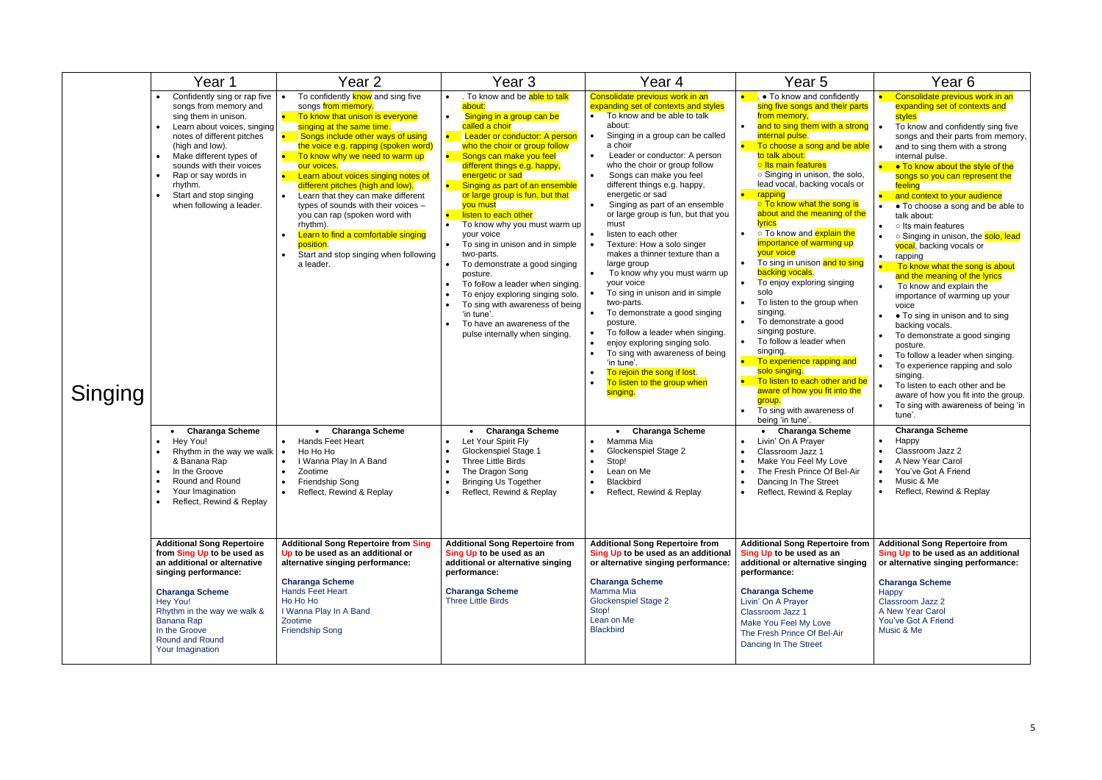|         | Year 1                                                                                                                                                                                                                                                                                                                                                                                                                                                                                 | Year 2                                                                                                                                                                                                                                                                                                                                                                                                                                                                                                                                                                                                                                                                                                                                                              | Year 3                                                                                                                                                                                                                                                                                                                                                                                                                                                                                                                                                                                                                                                                                                                                                                                                                                                                             | Year 4                                                                                                                                                                                                                                                                                                                                                                                                                                                                                                                                                                                                                                                                                                                                                                                                                                                                                                                                                                                                                                   | Year <sub>5</sub>                                                                                                                                                                                                                                                                                                                                                                                                                                                                                                                                                                                                                                                                                                                                                                                                                                                                                                                                                                                                                                                                                     | Year 6                                                                                                                                                                                                                                                                                                                                                                                                                                                                                                                                                                                                                                                                                                                                                                                                                                                                                                                                                                                                                                                                                                                                                    |
|---------|----------------------------------------------------------------------------------------------------------------------------------------------------------------------------------------------------------------------------------------------------------------------------------------------------------------------------------------------------------------------------------------------------------------------------------------------------------------------------------------|---------------------------------------------------------------------------------------------------------------------------------------------------------------------------------------------------------------------------------------------------------------------------------------------------------------------------------------------------------------------------------------------------------------------------------------------------------------------------------------------------------------------------------------------------------------------------------------------------------------------------------------------------------------------------------------------------------------------------------------------------------------------|------------------------------------------------------------------------------------------------------------------------------------------------------------------------------------------------------------------------------------------------------------------------------------------------------------------------------------------------------------------------------------------------------------------------------------------------------------------------------------------------------------------------------------------------------------------------------------------------------------------------------------------------------------------------------------------------------------------------------------------------------------------------------------------------------------------------------------------------------------------------------------|------------------------------------------------------------------------------------------------------------------------------------------------------------------------------------------------------------------------------------------------------------------------------------------------------------------------------------------------------------------------------------------------------------------------------------------------------------------------------------------------------------------------------------------------------------------------------------------------------------------------------------------------------------------------------------------------------------------------------------------------------------------------------------------------------------------------------------------------------------------------------------------------------------------------------------------------------------------------------------------------------------------------------------------|-------------------------------------------------------------------------------------------------------------------------------------------------------------------------------------------------------------------------------------------------------------------------------------------------------------------------------------------------------------------------------------------------------------------------------------------------------------------------------------------------------------------------------------------------------------------------------------------------------------------------------------------------------------------------------------------------------------------------------------------------------------------------------------------------------------------------------------------------------------------------------------------------------------------------------------------------------------------------------------------------------------------------------------------------------------------------------------------------------|-----------------------------------------------------------------------------------------------------------------------------------------------------------------------------------------------------------------------------------------------------------------------------------------------------------------------------------------------------------------------------------------------------------------------------------------------------------------------------------------------------------------------------------------------------------------------------------------------------------------------------------------------------------------------------------------------------------------------------------------------------------------------------------------------------------------------------------------------------------------------------------------------------------------------------------------------------------------------------------------------------------------------------------------------------------------------------------------------------------------------------------------------------------|
| Singing | Confidently sing or rap five<br>songs from memory and<br>sing them in unison.<br>Learn about voices, singing<br>notes of different pitches<br>(high and low).<br>Make different types of<br>sounds with their voices<br>Rap or say words in<br>rhythm.<br>Start and stop singing<br>when following a leader.<br>• Charanga Scheme<br>Hey You!<br>Rhythm in the way we walk $\cdot$<br>& Banana Rap<br>In the Groove<br>Round and Round<br>Your Imagination<br>Reflect, Rewind & Replay | To confidently <b>know</b> and sing five<br>songs from memory.<br>To know that unison is everyone<br>singing at the same time.<br>Songs include other ways of using<br>the voice e.g. rapping (spoken word)<br>To know why we need to warm up<br>our voices.<br>Learn about voices singing notes of<br>different pitches (high and low).<br>Learn that they can make different<br>$\bullet$<br>types of sounds with their voices -<br>you can rap (spoken word with<br>rhythm).<br>Learn to find a comfortable singing<br>position.<br>Start and stop singing when following<br>a leader.<br>• Charanga Scheme<br><b>Hands Feet Heart</b><br>$\bullet$<br>Ho Ho Ho<br>I Wanna Play In A Band<br>Zootime<br>Friendship Song<br>$\bullet$<br>Reflect, Rewind & Replay | . To know and be able to talk<br>about:<br>Singing in a group can be<br>called a choir<br>Leader or conductor: A person<br>who the choir or group follow<br>Songs can make you feel<br>different things e.g. happy,<br>energetic or sad<br>Singing as part of an ensemble<br>$\bullet$ .<br>or large group is fun, but that<br>you must<br>listen to each other<br>To know why you must warm up<br>your voice<br>To sing in unison and in simple<br>two-parts.<br>To demonstrate a good singing<br>posture.<br>To follow a leader when singing.<br>To enjoy exploring singing solo.<br>To sing with awareness of being<br>'in tune'.<br>To have an awareness of the<br>pulse internally when singing.<br><b>Charanga Scheme</b><br>Let Your Spirit Fly<br>Glockenspiel Stage 1<br>Three Little Birds<br>The Dragon Song<br><b>Bringing Us Together</b><br>Reflect, Rewind & Replay | Consolidate previous work in an<br>expanding set of contexts and styles<br>To know and be able to talk<br>about:<br>Singing in a group can be called<br>a choir<br>Leader or conductor: A person<br>$\bullet$<br>who the choir or group follow<br>Songs can make you feel<br>$\bullet$<br>different things e.g. happy,<br>energetic or sad<br>Singing as part of an ensemble<br>or large group is fun, but that you<br>must<br>listen to each other<br>Texture: How a solo singer<br>makes a thinner texture than a<br>large group<br>To know why you must warm up<br>your voice<br>To sing in unison and in simple<br>two-parts.<br>To demonstrate a good singing<br>posture.<br>To follow a leader when singing.<br>enjoy exploring singing solo.<br>To sing with awareness of being<br>'in tune'<br>To rejoin the song if lost.<br>To listen to the group when<br>singing.<br>• Charanga Scheme<br>Mamma Mia<br>Glockenspiel Stage 2<br>Stop!<br>Lean on Me<br><b>Blackbird</b><br>$\bullet$<br>Reflect, Rewind & Replay<br>$\bullet$ | • To know and confidently<br>sing five songs and their parts<br>from memory,<br>and to sing them with a strong<br>internal pulse.<br>To choose a song and be able<br>to talk about:<br>o Its main features<br>○ Singing in unison, the solo,<br>lead vocal, backing vocals or<br>rapping<br>o To know what the song is<br>about and the meaning of the<br><b>lyrics</b><br>○ To know and <mark>explain the</mark><br>importance of warming up<br>your voice<br>To sing in unison and to sing<br>$\bullet$<br>backing vocals.<br>To enjoy exploring singing<br>solo<br>To listen to the group when<br>$\bullet$<br>singing.<br>To demonstrate a good<br>singing posture.<br>To follow a leader when<br>singing.<br>To experience rapping and<br>solo singing.<br>To listen to each other and be<br>aware of how you fit into the<br>group.<br>To sing with awareness of<br>being 'in tune'.<br><b>Charanga Scheme</b><br>Livin' On A Prayer<br>$\bullet$<br>Classroom Jazz 1<br>$\bullet$<br>Make You Feel My Love<br>The Fresh Prince Of Bel-Air<br>Dancing In The Street<br>Reflect, Rewind & Replay | Consolidate previous work in an<br>expanding set of contexts and<br>styles<br>To know and confidently sing five<br>songs and their parts from memory,<br>and to sing them with a strong<br>internal pulse.<br>• To know about the style of the<br>songs so you can represent the<br>feeling<br>and context to your audience<br>• To choose a song and be able to<br>talk about:<br>o Its main features<br>○ Singing in unison, the solo, lead<br>$\bullet$<br>vocal, backing vocals or<br>rapping<br>$\bullet$<br>To know what the song is about<br>and the meaning of the lyrics<br>To know and explain the<br>importance of warming up your<br>voice<br>• To sing in unison and to sing<br>backing vocals.<br>To demonstrate a good singing<br>posture.<br>To follow a leader when singing.<br>$\bullet$<br>To experience rapping and solo<br>$\bullet$<br>singing.<br>To listen to each other and be<br>aware of how you fit into the group.<br>To sing with awareness of being 'in<br>tune'.<br><b>Charanga Scheme</b><br>Happy<br>Classroom Jazz 2<br>A New Year Carol<br>You've Got A Friend<br>Music & Me<br>$\bullet$<br>Reflect, Rewind & Replay |
|         | <b>Additional Song Repertoire</b><br>from Sing Up to be used as<br>an additional or alternative<br>singing performance:<br><b>Charanga Scheme</b><br>Hey You!<br>Rhythm in the way we walk &<br>Banana Rap<br>In the Groove<br>Round and Round<br>Your Imagination                                                                                                                                                                                                                     | <b>Additional Song Repertoire from Sing</b><br>Up to be used as an additional or<br>alternative singing performance:<br><b>Charanga Scheme</b><br>Hands Feet Heart<br>Ho Ho Ho<br>I Wanna Play In A Band<br>Zootime<br><b>Friendship Song</b>                                                                                                                                                                                                                                                                                                                                                                                                                                                                                                                       | <b>Additional Song Repertoire from</b><br>Sing Up to be used as an<br>additional or alternative singing<br>performance:<br><b>Charanga Scheme</b><br><b>Three Little Birds</b>                                                                                                                                                                                                                                                                                                                                                                                                                                                                                                                                                                                                                                                                                                     | <b>Additional Song Repertoire from</b><br>Sing Up to be used as an additional<br>or alternative singing performance:<br><b>Charanga Scheme</b><br>Mamma Mia<br><b>Glockenspiel Stage 2</b><br>Stop!<br>Lean on Me<br><b>Blackbird</b>                                                                                                                                                                                                                                                                                                                                                                                                                                                                                                                                                                                                                                                                                                                                                                                                    | <b>Additional Song Repertoire from</b><br>Sing Up to be used as an<br>additional or alternative singing<br>performance:<br><b>Charanga Scheme</b><br>Livin' On A Prayer<br>Classroom Jazz 1<br>Make You Feel My Love<br>The Fresh Prince Of Bel-Air<br>Dancing In The Street                                                                                                                                                                                                                                                                                                                                                                                                                                                                                                                                                                                                                                                                                                                                                                                                                          | <b>Additional Song Repertoire from</b><br>Sing Up to be used as an additional<br>or alternative singing performance:<br><b>Charanga Scheme</b><br>Happy<br>Classroom Jazz 2<br>A New Year Carol<br>You've Got A Friend<br>Music & Me                                                                                                                                                                                                                                                                                                                                                                                                                                                                                                                                                                                                                                                                                                                                                                                                                                                                                                                      |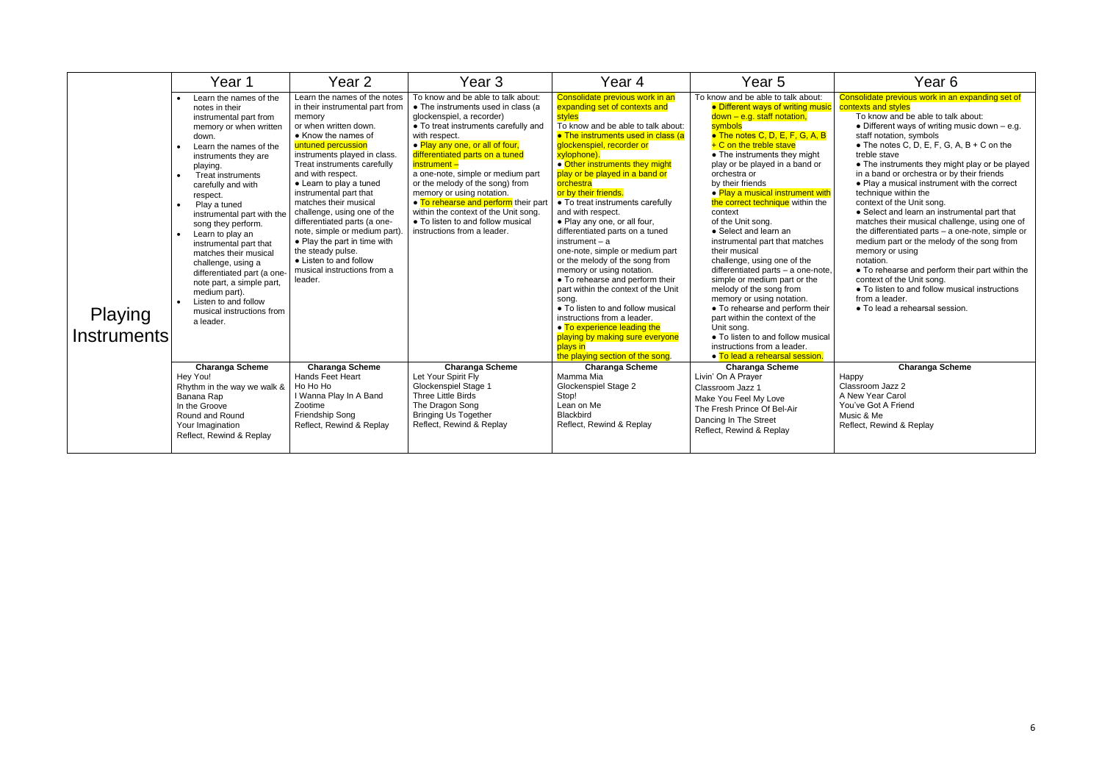|                        | Year 1                                                                                                                                                                                                                                                                                                                                                                                                                                                                                                                                            | Year 2                                                                                                                                                                                                                                                                                                                                                                                                                                                                                                                                     | Year 3                                                                                                                                                                                                                                                                                                                                                                                                                                                                                                        | Year 4                                                                                                                                                                                                                                                                                                                                                                                                                                                                                                                                                                                                                                                                                                                                                                                                                                 | Year 5                                                                                                                                                                                                                                                                                                                                                                                                                                                                                                                                                                                                                                                                                                                                                                                                                                      | Year <sub>6</sub>                                                                                                                                                                                                                                                                                                                                                                                                                                                                                                                                                                                                                                                                                                                                                                                                                                                                               |
|------------------------|---------------------------------------------------------------------------------------------------------------------------------------------------------------------------------------------------------------------------------------------------------------------------------------------------------------------------------------------------------------------------------------------------------------------------------------------------------------------------------------------------------------------------------------------------|--------------------------------------------------------------------------------------------------------------------------------------------------------------------------------------------------------------------------------------------------------------------------------------------------------------------------------------------------------------------------------------------------------------------------------------------------------------------------------------------------------------------------------------------|---------------------------------------------------------------------------------------------------------------------------------------------------------------------------------------------------------------------------------------------------------------------------------------------------------------------------------------------------------------------------------------------------------------------------------------------------------------------------------------------------------------|----------------------------------------------------------------------------------------------------------------------------------------------------------------------------------------------------------------------------------------------------------------------------------------------------------------------------------------------------------------------------------------------------------------------------------------------------------------------------------------------------------------------------------------------------------------------------------------------------------------------------------------------------------------------------------------------------------------------------------------------------------------------------------------------------------------------------------------|---------------------------------------------------------------------------------------------------------------------------------------------------------------------------------------------------------------------------------------------------------------------------------------------------------------------------------------------------------------------------------------------------------------------------------------------------------------------------------------------------------------------------------------------------------------------------------------------------------------------------------------------------------------------------------------------------------------------------------------------------------------------------------------------------------------------------------------------|-------------------------------------------------------------------------------------------------------------------------------------------------------------------------------------------------------------------------------------------------------------------------------------------------------------------------------------------------------------------------------------------------------------------------------------------------------------------------------------------------------------------------------------------------------------------------------------------------------------------------------------------------------------------------------------------------------------------------------------------------------------------------------------------------------------------------------------------------------------------------------------------------|
| Playing<br>Instruments | Learn the names of the<br>notes in their<br>instrumental part from<br>memory or when written<br>down.<br>Learn the names of the<br>instruments they are<br>playing.<br><b>Treat instruments</b><br>carefully and with<br>respect.<br>Play a tuned<br>instrumental part with the<br>song they perform.<br>Learn to play an<br>instrumental part that<br>matches their musical<br>challenge, using a<br>differentiated part (a one-<br>note part, a simple part,<br>medium part).<br>Listen to and follow<br>musical instructions from<br>a leader. | Learn the names of the notes<br>in their instrumental part from<br>memory<br>or when written down.<br>• Know the names of<br>untuned percussion<br>instruments played in class.<br>Treat instruments carefully<br>and with respect.<br>• Learn to play a tuned<br>instrumental part that<br>matches their musical<br>challenge, using one of the<br>differentiated parts (a one-<br>note, simple or medium part).<br>• Play the part in time with<br>the steady pulse.<br>• Listen to and follow<br>musical instructions from a<br>leader. | To know and be able to talk about:<br>• The instruments used in class (a<br>glockenspiel, a recorder)<br>• To treat instruments carefully and<br>with respect.<br>• Play any one, or all of four,<br>differentiated parts on a tuned<br>instrument -<br>a one-note, simple or medium part<br>or the melody of the song) from<br>memory or using notation.<br>• To rehearse and perform their part<br>within the context of the Unit song.<br>• To listen to and follow musical<br>instructions from a leader. | Consolidate previous work in an<br>expanding set of contexts and<br>styles<br>To know and be able to talk about:<br>• The instruments used in class (a<br>glockenspiel, recorder or<br>xylophone).<br>• Other instruments they might<br>play or be played in a band or<br>orchestra<br>or by their friends.<br>• To treat instruments carefully<br>and with respect.<br>• Play any one, or all four,<br>differentiated parts on a tuned<br>instrument $- a$<br>one-note, simple or medium part<br>or the melody of the song from<br>memory or using notation.<br>• To rehearse and perform their<br>part within the context of the Unit<br>song.<br>• To listen to and follow musical<br>instructions from a leader.<br>• To experience leading the<br>playing by making sure everyone<br>plays in<br>the playing section of the song. | To know and be able to talk about:<br>• Different ways of writing music<br>$down - e.g. staff notation,$<br>symbols<br>• The notes C, D, E, F, G, A, B<br>$+ C$ on the treble stave<br>$\bullet$ The instruments they might<br>play or be played in a band or<br>orchestra or<br>by their friends<br>• Play a musical instrument with<br>the correct technique within the<br>context<br>of the Unit song.<br>• Select and learn an<br>instrumental part that matches<br>their musical<br>challenge, using one of the<br>differentiated parts - a one-note,<br>simple or medium part or the<br>melody of the song from<br>memory or using notation.<br>• To rehearse and perform their<br>part within the context of the<br>Unit song.<br>• To listen to and follow musical<br>instructions from a leader.<br>• To lead a rehearsal session. | Consolidate previous work in an expanding set of<br>contexts and styles<br>To know and be able to talk about:<br>• Different ways of writing music down $-$ e.g.<br>staff notation, symbols<br>$\bullet$ The notes C, D, E, F, G, A, B + C on the<br>treble stave<br>• The instruments they might play or be played<br>in a band or orchestra or by their friends<br>• Play a musical instrument with the correct<br>technique within the<br>context of the Unit song.<br>• Select and learn an instrumental part that<br>matches their musical challenge, using one of<br>the differentiated parts - a one-note, simple or<br>medium part or the melody of the song from<br>memory or using<br>notation.<br>• To rehearse and perform their part within the<br>context of the Unit song.<br>• To listen to and follow musical instructions<br>from a leader.<br>• To lead a rehearsal session. |
|                        | <b>Charanga Scheme</b><br>Hey You!                                                                                                                                                                                                                                                                                                                                                                                                                                                                                                                | <b>Charanga Scheme</b><br>Hands Feet Heart                                                                                                                                                                                                                                                                                                                                                                                                                                                                                                 | <b>Charanga Scheme</b><br>Let Your Spirit Fly                                                                                                                                                                                                                                                                                                                                                                                                                                                                 | <b>Charanga Scheme</b><br>Mamma Mia                                                                                                                                                                                                                                                                                                                                                                                                                                                                                                                                                                                                                                                                                                                                                                                                    | <b>Charanga Scheme</b><br>Livin' On A Prayer                                                                                                                                                                                                                                                                                                                                                                                                                                                                                                                                                                                                                                                                                                                                                                                                | <b>Charanga Scheme</b><br>Happy                                                                                                                                                                                                                                                                                                                                                                                                                                                                                                                                                                                                                                                                                                                                                                                                                                                                 |
|                        | Rhythm in the way we walk &                                                                                                                                                                                                                                                                                                                                                                                                                                                                                                                       | Ho Ho Ho                                                                                                                                                                                                                                                                                                                                                                                                                                                                                                                                   | Glockenspiel Stage 1                                                                                                                                                                                                                                                                                                                                                                                                                                                                                          | Glockenspiel Stage 2                                                                                                                                                                                                                                                                                                                                                                                                                                                                                                                                                                                                                                                                                                                                                                                                                   | Classroom Jazz 1                                                                                                                                                                                                                                                                                                                                                                                                                                                                                                                                                                                                                                                                                                                                                                                                                            | Classroom Jazz 2                                                                                                                                                                                                                                                                                                                                                                                                                                                                                                                                                                                                                                                                                                                                                                                                                                                                                |
|                        | Banana Rap<br>In the Groove                                                                                                                                                                                                                                                                                                                                                                                                                                                                                                                       | I Wanna Play In A Band<br>Zootime                                                                                                                                                                                                                                                                                                                                                                                                                                                                                                          | Three Little Birds<br>The Dragon Song                                                                                                                                                                                                                                                                                                                                                                                                                                                                         | Stop!<br>Lean on Me                                                                                                                                                                                                                                                                                                                                                                                                                                                                                                                                                                                                                                                                                                                                                                                                                    | Make You Feel My Love<br>The Fresh Prince Of Bel-Air                                                                                                                                                                                                                                                                                                                                                                                                                                                                                                                                                                                                                                                                                                                                                                                        | A New Year Carol<br>You've Got A Friend                                                                                                                                                                                                                                                                                                                                                                                                                                                                                                                                                                                                                                                                                                                                                                                                                                                         |
|                        | Round and Round<br>Your Imagination                                                                                                                                                                                                                                                                                                                                                                                                                                                                                                               | Friendship Song<br>Reflect, Rewind & Replay                                                                                                                                                                                                                                                                                                                                                                                                                                                                                                | <b>Bringing Us Together</b><br>Reflect, Rewind & Replay                                                                                                                                                                                                                                                                                                                                                                                                                                                       | Blackbird<br>Reflect, Rewind & Replay                                                                                                                                                                                                                                                                                                                                                                                                                                                                                                                                                                                                                                                                                                                                                                                                  | Dancing In The Street                                                                                                                                                                                                                                                                                                                                                                                                                                                                                                                                                                                                                                                                                                                                                                                                                       | Music & Me<br>Reflect, Rewind & Replay                                                                                                                                                                                                                                                                                                                                                                                                                                                                                                                                                                                                                                                                                                                                                                                                                                                          |
|                        | Reflect, Rewind & Replay                                                                                                                                                                                                                                                                                                                                                                                                                                                                                                                          |                                                                                                                                                                                                                                                                                                                                                                                                                                                                                                                                            |                                                                                                                                                                                                                                                                                                                                                                                                                                                                                                               |                                                                                                                                                                                                                                                                                                                                                                                                                                                                                                                                                                                                                                                                                                                                                                                                                                        | Reflect, Rewind & Replay                                                                                                                                                                                                                                                                                                                                                                                                                                                                                                                                                                                                                                                                                                                                                                                                                    |                                                                                                                                                                                                                                                                                                                                                                                                                                                                                                                                                                                                                                                                                                                                                                                                                                                                                                 |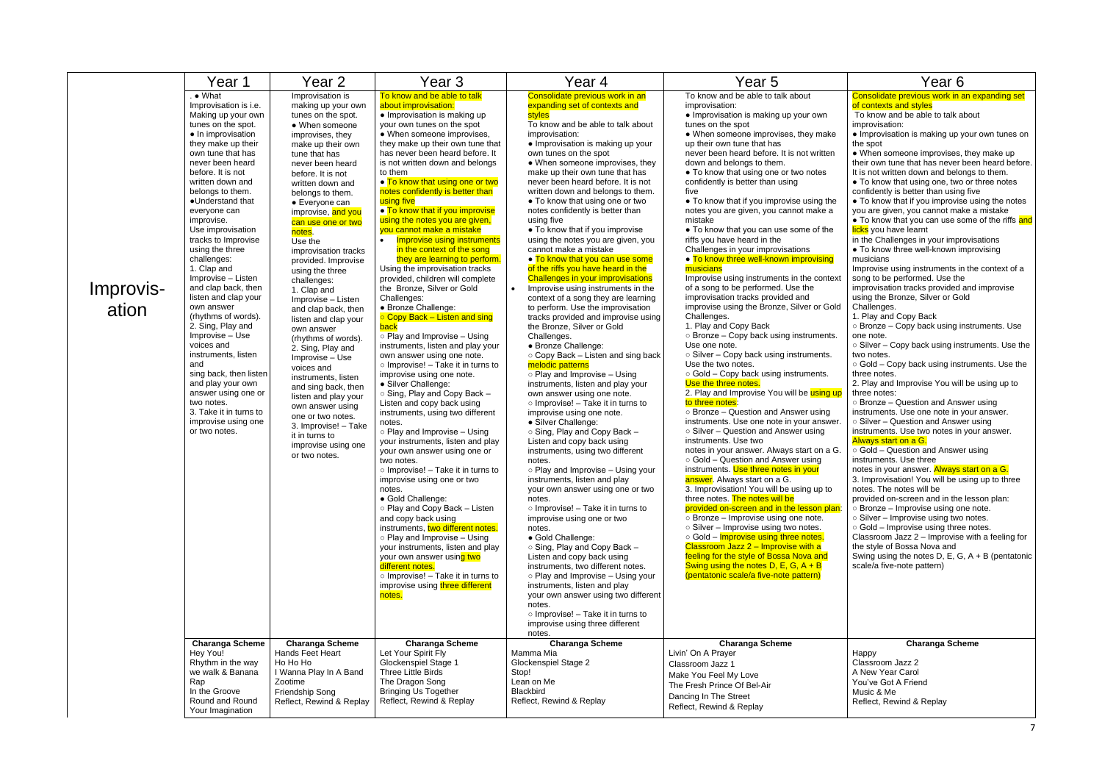|                    | Year 1                                                                                                                                                                                                                                                                                                                                                                                                                                                                                                                                                                                                                                                                                                                                   | Year 2                                                                                                                                                                                                                                                                                                                                                                                                                                                                                                                                                                                                                                                                                                                                                                        | Year <sub>3</sub>                                                                                                                                                                                                                                                                                                                                                                                                                                                                                                                                                                                                                                                                                                                                                                                                                                                                                                                                                                                                                                                                                                                                                                                                                                                                                                                                                                                                                                                                                                                                                                                                       | Year 4                                                                                                                                                                                                                                                                                                                                                                                                                                                                                                                                                                                                                                                                                                                                                                                                                                                                                                                                                                                                                                                                                                                                                                                                                                                                                                                                                                                                                                                                                                                                                                                                                                                                                                                                                                                                                 | Year 5                                                                                                                                                                                                                                                                                                                                                                                                                                                                                                                                                                                                                                                                                                                                                                                                                                                                                                                                                                                                                                                                                                                                                                                                                                                                                                                                                                                                                                                                                                                                                                                                                                                                                                                                                                                                                                                             | Year <sub>6</sub>                                                                                                                                                                                                                                                                                                                                                                                                                                                                                                                                                                                                                                                                                                                                                                                                                                                                                                                                                                                                                                                                                                                                                                                                                                                                                                                                                                                                                                                                                                                 |
|--------------------|------------------------------------------------------------------------------------------------------------------------------------------------------------------------------------------------------------------------------------------------------------------------------------------------------------------------------------------------------------------------------------------------------------------------------------------------------------------------------------------------------------------------------------------------------------------------------------------------------------------------------------------------------------------------------------------------------------------------------------------|-------------------------------------------------------------------------------------------------------------------------------------------------------------------------------------------------------------------------------------------------------------------------------------------------------------------------------------------------------------------------------------------------------------------------------------------------------------------------------------------------------------------------------------------------------------------------------------------------------------------------------------------------------------------------------------------------------------------------------------------------------------------------------|-------------------------------------------------------------------------------------------------------------------------------------------------------------------------------------------------------------------------------------------------------------------------------------------------------------------------------------------------------------------------------------------------------------------------------------------------------------------------------------------------------------------------------------------------------------------------------------------------------------------------------------------------------------------------------------------------------------------------------------------------------------------------------------------------------------------------------------------------------------------------------------------------------------------------------------------------------------------------------------------------------------------------------------------------------------------------------------------------------------------------------------------------------------------------------------------------------------------------------------------------------------------------------------------------------------------------------------------------------------------------------------------------------------------------------------------------------------------------------------------------------------------------------------------------------------------------------------------------------------------------|------------------------------------------------------------------------------------------------------------------------------------------------------------------------------------------------------------------------------------------------------------------------------------------------------------------------------------------------------------------------------------------------------------------------------------------------------------------------------------------------------------------------------------------------------------------------------------------------------------------------------------------------------------------------------------------------------------------------------------------------------------------------------------------------------------------------------------------------------------------------------------------------------------------------------------------------------------------------------------------------------------------------------------------------------------------------------------------------------------------------------------------------------------------------------------------------------------------------------------------------------------------------------------------------------------------------------------------------------------------------------------------------------------------------------------------------------------------------------------------------------------------------------------------------------------------------------------------------------------------------------------------------------------------------------------------------------------------------------------------------------------------------------------------------------------------------|--------------------------------------------------------------------------------------------------------------------------------------------------------------------------------------------------------------------------------------------------------------------------------------------------------------------------------------------------------------------------------------------------------------------------------------------------------------------------------------------------------------------------------------------------------------------------------------------------------------------------------------------------------------------------------------------------------------------------------------------------------------------------------------------------------------------------------------------------------------------------------------------------------------------------------------------------------------------------------------------------------------------------------------------------------------------------------------------------------------------------------------------------------------------------------------------------------------------------------------------------------------------------------------------------------------------------------------------------------------------------------------------------------------------------------------------------------------------------------------------------------------------------------------------------------------------------------------------------------------------------------------------------------------------------------------------------------------------------------------------------------------------------------------------------------------------------------------------------------------------|-----------------------------------------------------------------------------------------------------------------------------------------------------------------------------------------------------------------------------------------------------------------------------------------------------------------------------------------------------------------------------------------------------------------------------------------------------------------------------------------------------------------------------------------------------------------------------------------------------------------------------------------------------------------------------------------------------------------------------------------------------------------------------------------------------------------------------------------------------------------------------------------------------------------------------------------------------------------------------------------------------------------------------------------------------------------------------------------------------------------------------------------------------------------------------------------------------------------------------------------------------------------------------------------------------------------------------------------------------------------------------------------------------------------------------------------------------------------------------------------------------------------------------------|
| Improvis-<br>ation | $\bullet$ What<br>Improvisation is i.e.<br>Making up your own<br>tunes on the spot.<br>• In improvisation<br>they make up their<br>own tune that has<br>never been heard<br>before. It is not<br>written down and<br>belongs to them.<br>•Understand that<br>everyone can<br>improvise.<br>Use improvisation<br>tracks to Improvise<br>using the three<br>challenges:<br>1. Clap and<br>Improvise - Listen<br>and clap back, then<br>listen and clap your<br>own answer<br>(rhythms of words).<br>2. Sing, Play and<br>Improvise - Use<br>voices and<br>instruments, listen<br>and<br>sing back, then listen<br>and play your own<br>answer using one or<br>two notes.<br>3. Take it in turns to<br>improvise using one<br>or two notes. | Improvisation is<br>making up your own<br>tunes on the spot.<br>• When someone<br>improvises, they<br>make up their own<br>tune that has<br>never been heard<br>before. It is not<br>written down and<br>belongs to them.<br>• Everyone can<br>improvise, and you<br>can use one or two<br>notes.<br>Use the<br>improvisation tracks<br>provided. Improvise<br>using the three<br>challenges:<br>1. Clap and<br>Improvise - Listen<br>and clap back, then<br>listen and clap your<br>own answer<br>(rhythms of words).<br>2. Sing, Play and<br>Improvise - Use<br>voices and<br>instruments, listen<br>and sing back, then<br>listen and play your<br>own answer using<br>one or two notes.<br>3. Improvise! - Take<br>it in turns to<br>improvise using one<br>or two notes. | To know and be able to talk<br>about improvisation:<br>• Improvisation is making up<br>your own tunes on the spot<br>• When someone improvises,<br>they make up their own tune that<br>has never been heard before. It<br>is not written down and belongs<br>to them<br>• To know that using one or two<br>notes confidently is better than<br>using five<br>• To know that if you improvise<br>using the notes you are given,<br>you cannot make a mistake<br><b>Improvise using instruments</b><br>in the context of the song<br>they are learning to perform.<br>Using the improvisation tracks<br>provided, children will complete<br>the Bronze, Silver or Gold<br>Challenges:<br>• Bronze Challenge:<br>○ Copy Back – Listen and sing<br><b>back</b><br>$\circ$ Play and Improvise – Using<br>instruments, listen and play your<br>own answer using one note.<br>$\circ$ Improvise! - Take it in turns to<br>improvise using one note.<br>• Silver Challenge:<br>○ Sing, Play and Copy Back -<br>Listen and copy back using<br>instruments, using two different<br>notes.<br>○ Play and Improvise – Using<br>your instruments, listen and play<br>your own answer using one or<br>two notes.<br>$\circ$ Improvise! – Take it in turns to<br>improvise using one or two<br>notes.<br>• Gold Challenge:<br>o Play and Copy Back - Listen<br>and copy back using<br>instruments, two different notes.<br>○ Play and Improvise – Using<br>your instruments, listen and play<br>your own answer using two<br>different notes.<br>$\circ$ Improvise! – Take it in turns to<br>improvise using three different<br>notes. | Consolidate previous work in an<br>expanding set of contexts and<br>styles<br>To know and be able to talk about<br>improvisation:<br>• Improvisation is making up your<br>own tunes on the spot<br>• When someone improvises, they<br>make up their own tune that has<br>never been heard before. It is not<br>written down and belongs to them.<br>• To know that using one or two<br>notes confidently is better than<br>using five<br>• To know that if you improvise<br>using the notes you are given, you<br>cannot make a mistake<br>• To know that you can use some<br>of the riffs you have heard in the<br><b>Challenges in your improvisations</b><br>Improvise using instruments in the<br>context of a song they are learning<br>to perform. Use the improvisation<br>tracks provided and improvise using<br>the Bronze, Silver or Gold<br>Challenges.<br>• Bronze Challenge:<br>○ Copy Back – Listen and sing back<br>melodic patterns<br>$\circ$ Play and Improvise – Using<br>instruments, listen and play your<br>own answer using one note.<br>$\circ$ Improvise! - Take it in turns to<br>improvise using one note.<br>• Silver Challenge:<br>○ Sing, Play and Copy Back -<br>Listen and copy back using<br>instruments, using two different<br>notes.<br>○ Play and Improvise – Using your<br>instruments, listen and play<br>your own answer using one or two<br>notes.<br>$\circ$ Improvise! - Take it in turns to<br>improvise using one or two<br>notes.<br>· Gold Challenge:<br>○ Sing, Play and Copy Back -<br>Listen and copy back using<br>instruments, two different notes.<br>o Play and Improvise - Using your<br>instruments, listen and play<br>your own answer using two different<br>notes.<br>$\circ$ Improvise! – Take it in turns to<br>improvise using three different<br>notes. | To know and be able to talk about<br>improvisation:<br>• Improvisation is making up your own<br>tunes on the spot<br>• When someone improvises, they make<br>up their own tune that has<br>never been heard before. It is not written<br>down and belongs to them.<br>• To know that using one or two notes<br>confidently is better than using<br>five<br>• To know that if you improvise using the<br>notes you are given, you cannot make a<br>mistake<br>• To know that you can use some of the<br>riffs you have heard in the<br>Challenges in your improvisations<br>• To know three well-known improvising<br>musicians<br>Improvise using instruments in the context<br>of a song to be performed. Use the<br>improvisation tracks provided and<br>improvise using the Bronze, Silver or Gold<br>Challenges.<br>1. Play and Copy Back<br>o Bronze - Copy back using instruments.<br>Use one note.<br>○ Silver – Copy back using instruments.<br>Use the two notes.<br>○ Gold – Copy back using instruments.<br>Use the three notes.<br>2. Play and Improvise You will be using up<br>to three notes:<br>$\circ$ Bronze – Question and Answer using<br>instruments. Use one note in your answer.<br>○ Silver – Question and Answer using<br>instruments. Use two<br>notes in your answer. Always start on a G.<br>○ Gold – Question and Answer using<br>instruments. Use three notes in your<br>answer. Always start on a G.<br>3. Improvisation! You will be using up to<br>three notes. The notes will be<br>provided on-screen and in the lesson plan:<br>○ Bronze – Improvise using one note.<br>○ Silver - Improvise using two notes.<br>○ Gold – Improvise using three notes.<br>Classroom Jazz $2$ – Improvise with a<br>feeling for the style of Bossa Nova and<br>Swing using the notes $D, E, G, A + B$<br>(pentatonic scale/a five-note pattern) | Consolidate previous work in a<br>of contexts and styles<br>To know and be able to talk a<br>improvisation:<br>· Improvisation is making up y<br>the spot<br>• When someone improvises,<br>their own tune that has never I<br>It is not written down and belo<br>• To know that using one, two<br>confidently is better than using<br>• To know that if you improvis<br>you are given, you cannot mal<br>• To know that you can use so<br>licks you have learnt<br>in the Challenges in your impr<br>• To know three well-known in<br>musicians<br>Improvise using instruments in<br>song to be performed. Use the<br>improvisation tracks provided<br>using the Bronze, Silver or Go<br>Challenges.<br>1. Play and Copy Back<br>○ Bronze – Copy back using in<br>one note.<br>○ Silver - Copy back using ins<br>two notes.<br>○ Gold - Copy back using inst<br>three notes.<br>2. Play and Improvise You will<br>three notes:<br>○ Bronze – Question and Ansy<br>instruments. Use one note in y<br>○ Silver - Question and Answ<br>instruments. Use two notes in<br>Always start on a G.<br>○ Gold - Question and Answe<br>instruments. Use three<br>notes in your answer. Always<br>3. Improvisation! You will be u<br>notes. The notes will be<br>provided on-screen and in the<br>$\circ$ Bronze – Improvise using or<br>○ Silver - Improvise using two<br>$\circ$ Gold - Improvise using three<br>Classroom Jazz 2 - Improvise<br>the style of Bossa Nova and<br>Swing using the notes D, E, G<br>scale/a five-note pattern) |
|                    | <b>Charanga Scheme</b><br>Hey You!<br>Rhythm in the way<br>we walk & Banana<br>Rap<br>In the Groove<br>Round and Round<br>Your Imagination                                                                                                                                                                                                                                                                                                                                                                                                                                                                                                                                                                                               | <b>Charanga Scheme</b><br>Hands Feet Heart<br>Ho Ho Ho<br>I Wanna Play In A Band<br>Zootime<br>Friendship Song<br>Reflect, Rewind & Replay                                                                                                                                                                                                                                                                                                                                                                                                                                                                                                                                                                                                                                    | <b>Charanga Scheme</b><br>Let Your Spirit Fly<br>Glockenspiel Stage 1<br>Three Little Birds<br>The Dragon Song<br><b>Bringing Us Together</b><br>Reflect, Rewind & Replay                                                                                                                                                                                                                                                                                                                                                                                                                                                                                                                                                                                                                                                                                                                                                                                                                                                                                                                                                                                                                                                                                                                                                                                                                                                                                                                                                                                                                                               | <b>Charanga Scheme</b><br>Mamma Mia<br>Glockenspiel Stage 2<br>Stop!<br>Lean on Me<br>Blackbird<br>Reflect, Rewind & Replay                                                                                                                                                                                                                                                                                                                                                                                                                                                                                                                                                                                                                                                                                                                                                                                                                                                                                                                                                                                                                                                                                                                                                                                                                                                                                                                                                                                                                                                                                                                                                                                                                                                                                            | <b>Charanga Scheme</b><br>Livin' On A Prayer<br>Classroom Jazz 1<br>Make You Feel My Love<br>The Fresh Prince Of Bel-Air<br>Dancing In The Street<br>Reflect, Rewind & Replay                                                                                                                                                                                                                                                                                                                                                                                                                                                                                                                                                                                                                                                                                                                                                                                                                                                                                                                                                                                                                                                                                                                                                                                                                                                                                                                                                                                                                                                                                                                                                                                                                                                                                      | Charanga Sch<br>Happy<br>Classroom Jazz 2<br>A New Year Carol<br>You've Got A Friend<br>Music & Me<br>Reflect, Rewind & Replay                                                                                                                                                                                                                                                                                                                                                                                                                                                                                                                                                                                                                                                                                                                                                                                                                                                                                                                                                                                                                                                                                                                                                                                                                                                                                                                                                                                                    |

|     | Year 6                                                                                   |
|-----|------------------------------------------------------------------------------------------|
|     | Consolidate previous work in an expanding set                                            |
|     | of contexts and styles<br>To know and be able to talk about                              |
|     | improvisation:                                                                           |
|     | • Improvisation is making up your own tunes on                                           |
|     | the spot<br>• When someone improvises, they make up                                      |
|     | their own tune that has never been heard before.                                         |
|     | It is not written down and belongs to them.                                              |
|     | • To know that using one, two or three notes                                             |
|     | confidently is better than using five<br>• To know that if you improvise using the notes |
|     | you are given, you cannot make a mistake                                                 |
|     | • To know that you can use some of the riffs and                                         |
|     | licks you have learnt                                                                    |
|     | in the Challenges in your improvisations<br>• To know three well-known improvising       |
|     | musicians                                                                                |
|     | Improvise using instruments in the context of a                                          |
| xt  | song to be performed. Use the<br>improvisation tracks provided and improvise             |
|     | using the Bronze, Silver or Gold                                                         |
| ld  | Challenges.                                                                              |
|     | 1. Play and Copy Back<br>O Bronze - Copy back using instruments. Use                     |
|     | one note.                                                                                |
|     | ○ Silver – Copy back using instruments. Use the                                          |
|     | two notes.                                                                               |
|     | ○ Gold – Copy back using instruments. Use the<br>three notes.                            |
|     | 2. Play and Improvise You will be using up to                                            |
| qL  | three notes:                                                                             |
|     | $\circ$ Bronze – Question and Answer using<br>instruments. Use one note in your answer.  |
| эr. | ○ Silver – Question and Answer using                                                     |
|     | instruments. Use two notes in your answer.                                               |
|     | Always start on a G.                                                                     |
| Э.  | ○ Gold – Question and Answer using<br>instruments. Use three                             |
|     | notes in your answer. Always start on a G.                                               |
|     | 3. Improvisation! You will be using up to three                                          |
|     | notes. The notes will be<br>provided on-screen and in the lesson plan:                   |
| in: | o Bronze - Improvise using one note.                                                     |
|     | o Silver - Improvise using two notes.                                                    |
|     | o Gold - Improvise using three notes.                                                    |
|     | Classroom Jazz 2 - Improvise with a feeling for<br>the style of Bossa Nova and           |
|     | Swing using the notes $D, E, G, A + B$ (pentatonic                                       |
|     | scale/a five-note pattern)                                                               |
|     |                                                                                          |
|     |                                                                                          |
|     |                                                                                          |
|     |                                                                                          |
|     |                                                                                          |
|     | <b>Charanga Scheme</b>                                                                   |
|     | Happy                                                                                    |
|     | Classroom Jazz 2<br>A New Year Carol                                                     |
|     | You've Got A Friend                                                                      |
|     | Music & Me                                                                               |
|     | Reflect, Rewind & Replay                                                                 |
|     |                                                                                          |
|     |                                                                                          |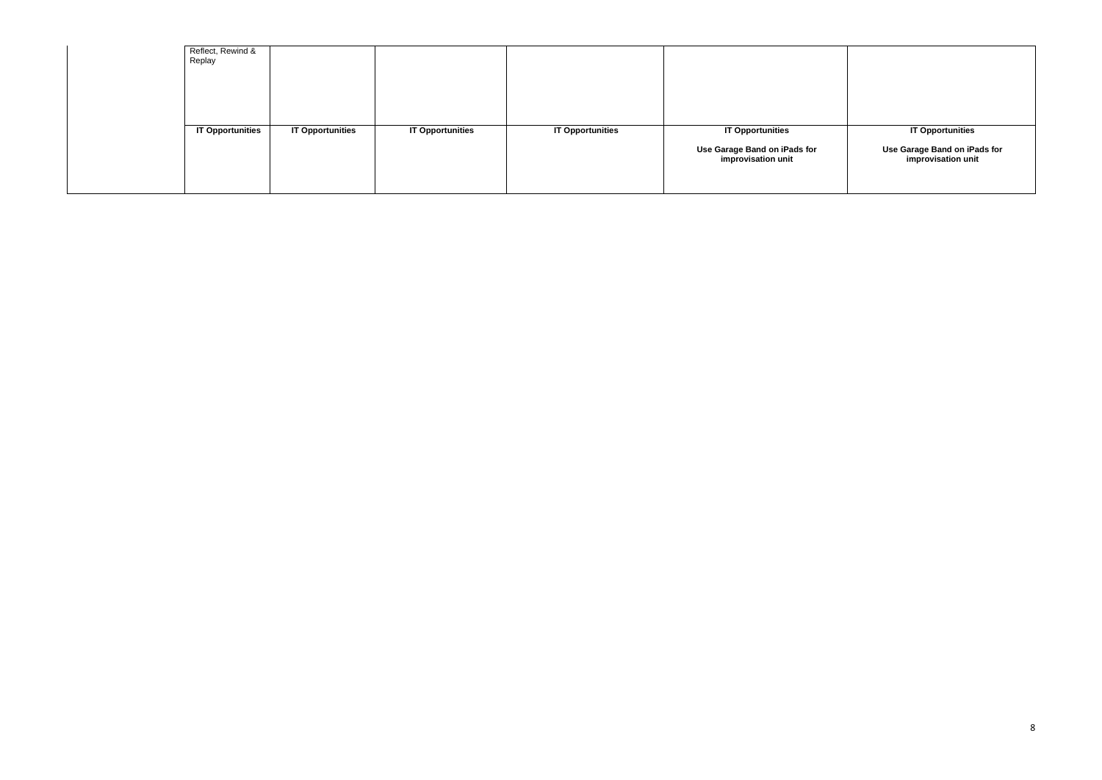| Reflect, Rewind &<br>Replay |                         |                         |                         |                                                                               |
|-----------------------------|-------------------------|-------------------------|-------------------------|-------------------------------------------------------------------------------|
| <b>IT Opportunities</b>     | <b>IT Opportunities</b> | <b>IT Opportunities</b> | <b>IT Opportunities</b> | <b>IT Opportunities</b><br>Use Garage Band on iPads for<br>improvisation unit |

## **IT Opportunities**

#### **Use Garage Band on iPads for improvisation unit**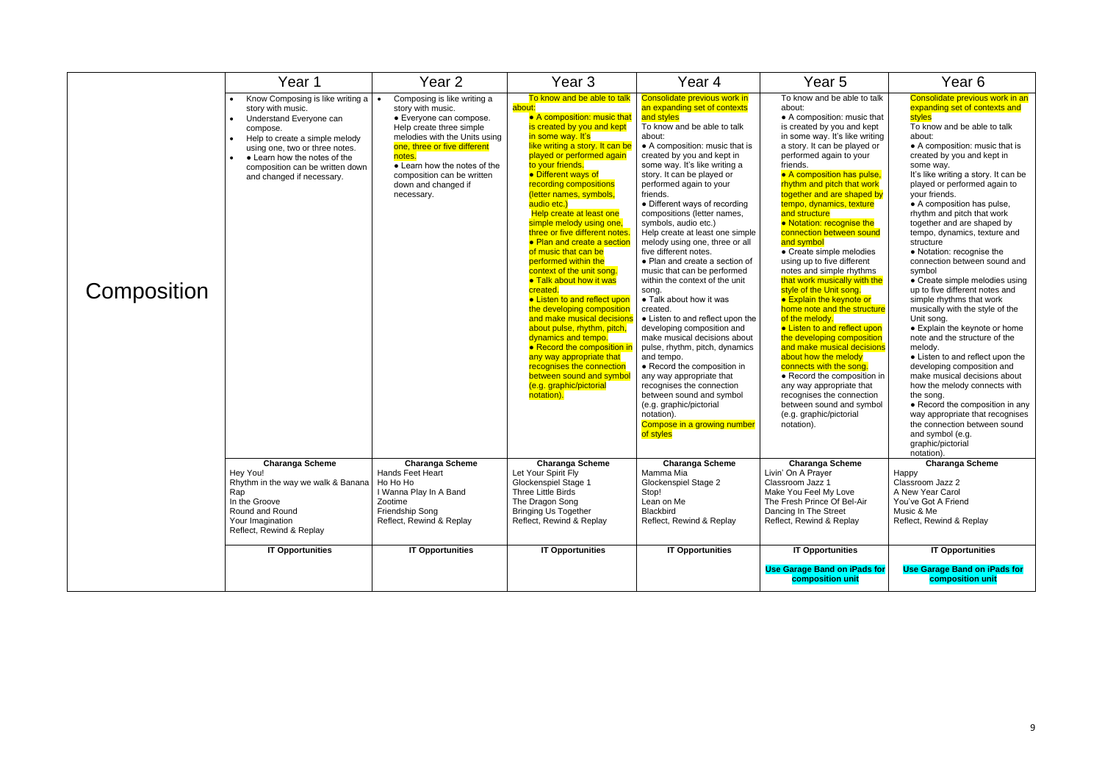|             | Year 1                                                                                                                                                                                                                                                                                                  | Year 2                                                                                                                                                                                                                                                                                | Year 3                                                                                                                                                                                                                                                                                                                                                                                                                                                                                                                                                                                                                                                                                                                                                                                                                                                         | Year 4                                                                                                                                                                                                                                                                                                                                                                                                                                                                                                                                                                                                                                                                                                                                                                                                                                                                                                                                                                                        | Year 5                                                                                                                                                                                                                                                                                                                                                                                                                                                                                                                                                                                                                                                                                                                                                                                                                                                                                                                                                              | Year 6                                                                                                                                                                                                                                                                                                                                                                                                                                                                                                                                                                                                                                                                                                                                                                                                                                                                                                                                                                                                                                            |
|-------------|---------------------------------------------------------------------------------------------------------------------------------------------------------------------------------------------------------------------------------------------------------------------------------------------------------|---------------------------------------------------------------------------------------------------------------------------------------------------------------------------------------------------------------------------------------------------------------------------------------|----------------------------------------------------------------------------------------------------------------------------------------------------------------------------------------------------------------------------------------------------------------------------------------------------------------------------------------------------------------------------------------------------------------------------------------------------------------------------------------------------------------------------------------------------------------------------------------------------------------------------------------------------------------------------------------------------------------------------------------------------------------------------------------------------------------------------------------------------------------|-----------------------------------------------------------------------------------------------------------------------------------------------------------------------------------------------------------------------------------------------------------------------------------------------------------------------------------------------------------------------------------------------------------------------------------------------------------------------------------------------------------------------------------------------------------------------------------------------------------------------------------------------------------------------------------------------------------------------------------------------------------------------------------------------------------------------------------------------------------------------------------------------------------------------------------------------------------------------------------------------|---------------------------------------------------------------------------------------------------------------------------------------------------------------------------------------------------------------------------------------------------------------------------------------------------------------------------------------------------------------------------------------------------------------------------------------------------------------------------------------------------------------------------------------------------------------------------------------------------------------------------------------------------------------------------------------------------------------------------------------------------------------------------------------------------------------------------------------------------------------------------------------------------------------------------------------------------------------------|---------------------------------------------------------------------------------------------------------------------------------------------------------------------------------------------------------------------------------------------------------------------------------------------------------------------------------------------------------------------------------------------------------------------------------------------------------------------------------------------------------------------------------------------------------------------------------------------------------------------------------------------------------------------------------------------------------------------------------------------------------------------------------------------------------------------------------------------------------------------------------------------------------------------------------------------------------------------------------------------------------------------------------------------------|
| Composition | Know Composing is like writing a<br>$\bullet$<br>story with music.<br>Understand Everyone can<br>$\bullet$<br>compose.<br>Help to create a simple melody<br>$\bullet$<br>using one, two or three notes.<br>• Learn how the notes of the<br>composition can be written down<br>and changed if necessary. | Composing is like writing a<br>story with music.<br>• Everyone can compose.<br>Help create three simple<br>melodies with the Units using<br>one, three or five different<br>notes.<br>• Learn how the notes of the<br>composition can be written<br>down and changed if<br>necessary. | To know and be able to talk<br>about:<br>• A composition: music that<br>is created by you and kept<br>in some way. It's<br>like writing a story. It can be<br>played or performed again<br>to your friends.<br>• Different ways of<br>recording compositions<br>(letter names, symbols,<br>audio etc.)<br>Help create at least one<br>simple melody using one,<br>three or five different notes<br>• Plan and create a section<br>of music that can be<br>performed within the<br>context of the unit song.<br>• Talk about how it was<br>created.<br>• Listen to and reflect upon<br>the developing composition<br>and make musical decision<br>about pulse, rhythm, pitch,<br>dynamics and tempo.<br>• Record the composition i<br>any way appropriate that<br>recognises the connection<br>between sound and symbo<br>(e.g. graphic/pictorial<br>notation). | Consolidate previous work in<br>an expanding set of contexts<br>and styles<br>To know and be able to talk<br>about:<br>• A composition: music that is<br>created by you and kept in<br>some way. It's like writing a<br>story. It can be played or<br>performed again to your<br>friends.<br>• Different ways of recording<br>compositions (letter names,<br>symbols, audio etc.)<br>Help create at least one simple<br>melody using one, three or all<br>five different notes.<br>• Plan and create a section of<br>music that can be performed<br>within the context of the unit<br>song.<br>• Talk about how it was<br>created.<br>• Listen to and reflect upon the<br>developing composition and<br>make musical decisions about<br>pulse, rhythm, pitch, dynamics<br>and tempo.<br>• Record the composition in<br>any way appropriate that<br>recognises the connection<br>between sound and symbol<br>(e.g. graphic/pictorial<br>notation).<br>Compose in a growing number<br>of styles | To know and be able to talk<br>about:<br>• A composition: music that<br>is created by you and kept<br>in some way. It's like writing<br>a story. It can be played or<br>performed again to your<br>friends.<br>• A composition has pulse,<br>rhythm and pitch that work<br>together and are shaped by<br>tempo, dynamics, texture<br>and structure<br>. Notation: recognise the<br>connection between sound<br>and symbol<br>• Create simple melodies<br>using up to five different<br>notes and simple rhythms<br>that work musically with the<br>style of the Unit song.<br>● Explain the keynote or<br>home note and the structure<br>of the melody.<br>• Listen to and reflect upon<br>the developing composition<br>and make musical decisions<br>about how the melody<br>connects with the song.<br>• Record the composition in<br>any way appropriate that<br>recognises the connection<br>between sound and symbol<br>(e.g. graphic/pictorial<br>notation). | Consolidate previous work in an<br>expanding set of contexts and<br>stvles<br>To know and be able to talk<br>about:<br>• A composition: music that is<br>created by you and kept in<br>some way.<br>It's like writing a story. It can be<br>played or performed again to<br>your friends.<br>• A composition has pulse,<br>rhythm and pitch that work<br>together and are shaped by<br>tempo, dynamics, texture and<br>structure<br>• Notation: recognise the<br>connection between sound and<br>symbol<br>• Create simple melodies using<br>up to five different notes and<br>simple rhythms that work<br>musically with the style of the<br>Unit song.<br>• Explain the keynote or home<br>note and the structure of the<br>melody.<br>• Listen to and reflect upon the<br>developing composition and<br>make musical decisions about<br>how the melody connects with<br>the song.<br>• Record the composition in any<br>way appropriate that recognises<br>the connection between sound<br>and symbol (e.g.<br>graphic/pictorial<br>notation). |
|             | <b>Charanga Scheme</b><br>Hey You!<br>Rhythm in the way we walk & Banana   Ho Ho Ho<br>Rap<br>In the Groove<br>Round and Round<br>Your Imagination<br>Reflect, Rewind & Replay                                                                                                                          | <b>Charanga Scheme</b><br>Hands Feet Heart<br>I Wanna Play In A Band<br>Zootime<br>Friendship Song<br>Reflect, Rewind & Replay                                                                                                                                                        | <b>Charanga Scheme</b><br>Let Your Spirit Fly<br>Glockenspiel Stage 1<br>Three Little Birds<br>The Dragon Song<br><b>Bringing Us Together</b><br>Reflect, Rewind & Replay                                                                                                                                                                                                                                                                                                                                                                                                                                                                                                                                                                                                                                                                                      | <b>Charanga Scheme</b><br>Mamma Mia<br>Glockenspiel Stage 2<br>Stop!<br>Lean on Me<br>Blackbird<br>Reflect, Rewind & Replay                                                                                                                                                                                                                                                                                                                                                                                                                                                                                                                                                                                                                                                                                                                                                                                                                                                                   | <b>Charanga Scheme</b><br>Livin' On A Prayer<br>Classroom Jazz 1<br>Make You Feel My Love<br>The Fresh Prince Of Bel-Air<br>Dancing In The Street<br>Reflect, Rewind & Replay                                                                                                                                                                                                                                                                                                                                                                                                                                                                                                                                                                                                                                                                                                                                                                                       | <b>Charanga Scheme</b><br>Happy<br>Classroom Jazz 2<br>A New Year Carol<br>You've Got A Friend<br>Music & Me<br>Reflect, Rewind & Replay                                                                                                                                                                                                                                                                                                                                                                                                                                                                                                                                                                                                                                                                                                                                                                                                                                                                                                          |
|             | <b>IT Opportunities</b>                                                                                                                                                                                                                                                                                 | <b>IT Opportunities</b>                                                                                                                                                                                                                                                               | <b>IT Opportunities</b>                                                                                                                                                                                                                                                                                                                                                                                                                                                                                                                                                                                                                                                                                                                                                                                                                                        | <b>IT Opportunities</b>                                                                                                                                                                                                                                                                                                                                                                                                                                                                                                                                                                                                                                                                                                                                                                                                                                                                                                                                                                       | <b>IT Opportunities</b><br><b>Use Garage Band on iPads for</b><br>composition unit                                                                                                                                                                                                                                                                                                                                                                                                                                                                                                                                                                                                                                                                                                                                                                                                                                                                                  | <b>IT Opportunities</b><br><b>Use Garage Band on iPads for</b><br>composition unit                                                                                                                                                                                                                                                                                                                                                                                                                                                                                                                                                                                                                                                                                                                                                                                                                                                                                                                                                                |